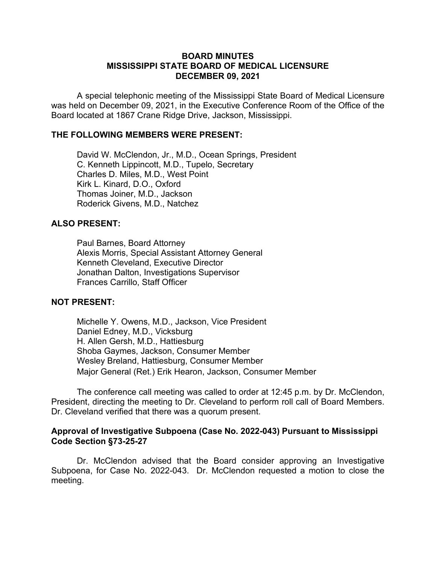#### **BOARD MINUTES MISSISSIPPI STATE BOARD OF MEDICAL LICENSURE DECEMBER 09, 2021**

A special telephonic meeting of the Mississippi State Board of Medical Licensure was held on December 09, 2021, in the Executive Conference Room of the Office of the Board located at 1867 Crane Ridge Drive, Jackson, Mississippi.

# **THE FOLLOWING MEMBERS WERE PRESENT:**

David W. McClendon, Jr., M.D., Ocean Springs, President C. Kenneth Lippincott, M.D., Tupelo, Secretary Charles D. Miles, M.D., West Point Kirk L. Kinard, D.O., Oxford Thomas Joiner, M.D., Jackson Roderick Givens, M.D., Natchez

# **ALSO PRESENT:**

Paul Barnes, Board Attorney Alexis Morris, Special Assistant Attorney General Kenneth Cleveland, Executive Director Jonathan Dalton, Investigations Supervisor Frances Carrillo, Staff Officer

### **NOT PRESENT:**

Michelle Y. Owens, M.D., Jackson, Vice President Daniel Edney, M.D., Vicksburg H. Allen Gersh, M.D., Hattiesburg Shoba Gaymes, Jackson, Consumer Member Wesley Breland, Hattiesburg, Consumer Member Major General (Ret.) Erik Hearon, Jackson, Consumer Member

The conference call meeting was called to order at 12:45 p.m. by Dr. McClendon, President, directing the meeting to Dr. Cleveland to perform roll call of Board Members. Dr. Cleveland verified that there was a quorum present.

### **Approval of Investigative Subpoena (Case No. 2022-043) Pursuant to Mississippi Code Section §73-25-27**

Dr. McClendon advised that the Board consider approving an Investigative Subpoena, for Case No. 2022-043. Dr. McClendon requested a motion to close the meeting.